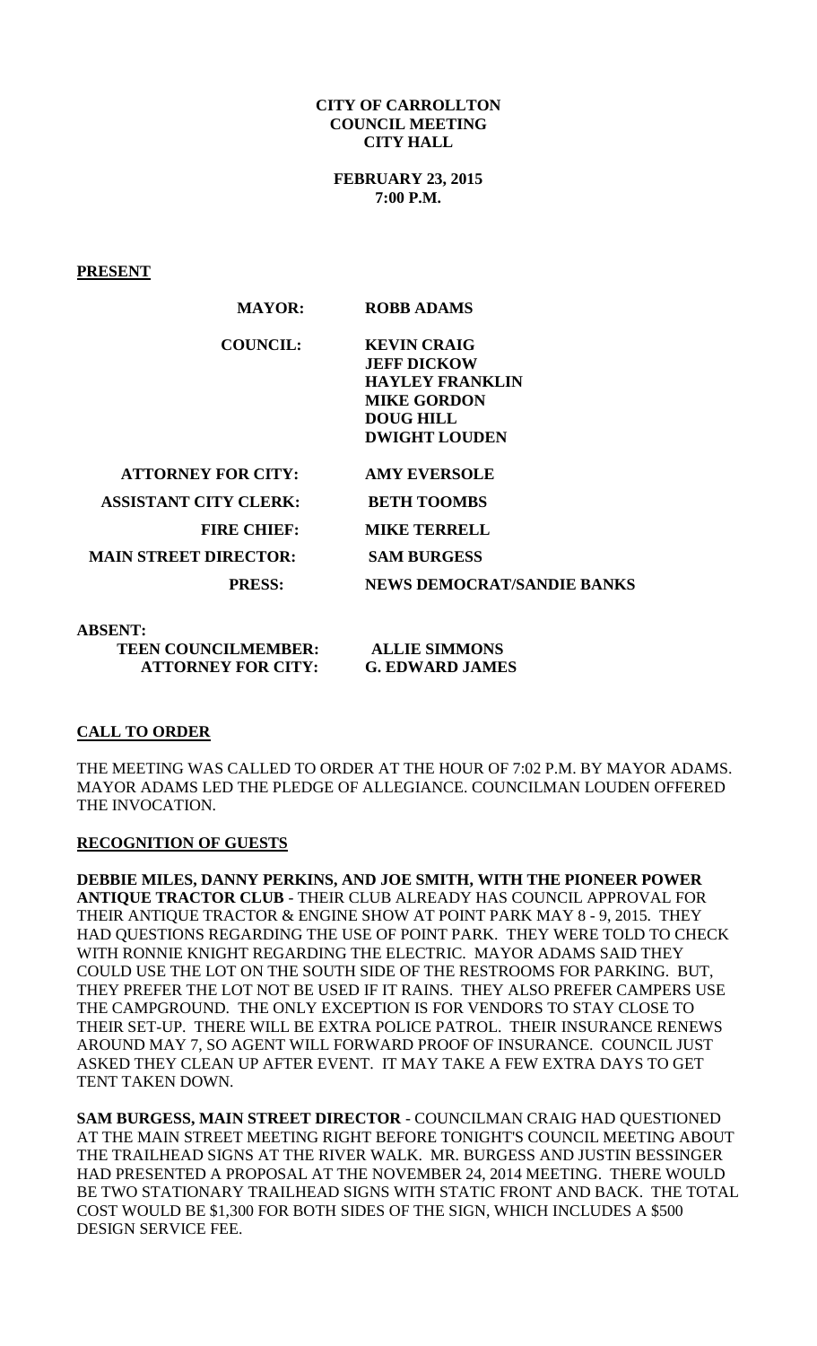#### **CITY OF CARROLLTON COUNCIL MEETING CITY HALL**

**FEBRUARY 23, 2015 7:00 P.M.**

**PRESENT**

| <b>MAYOR:</b>                | <b>ROBB ADAMS</b>                                                                                                                    |
|------------------------------|--------------------------------------------------------------------------------------------------------------------------------------|
| <b>COUNCIL:</b>              | <b>KEVIN CRAIG</b><br><b>JEFF DICKOW</b><br><b>HAYLEY FRANKLIN</b><br><b>MIKE GORDON</b><br><b>DOUG HILL</b><br><b>DWIGHT LOUDEN</b> |
| <b>ATTORNEY FOR CITY:</b>    | <b>AMY EVERSOLE</b>                                                                                                                  |
| <b>ASSISTANT CITY CLERK:</b> | <b>BETH TOOMBS</b>                                                                                                                   |
| <b>FIRE CHIEF:</b>           | <b>MIKE TERRELL</b>                                                                                                                  |
| <b>MAIN STREET DIRECTOR:</b> | <b>SAM BURGESS</b>                                                                                                                   |
| <b>PRESS:</b>                | <b>NEWS DEMOCRAT/SANDIE BANKS</b>                                                                                                    |

**ABSENT:** 

 **TEEN COUNCILMEMBER: ALLIE SIMMONS ATTORNEY FOR CITY: G. EDWARD JAMES** 

# **CALL TO ORDER**

THE MEETING WAS CALLED TO ORDER AT THE HOUR OF 7:02 P.M. BY MAYOR ADAMS. MAYOR ADAMS LED THE PLEDGE OF ALLEGIANCE. COUNCILMAN LOUDEN OFFERED THE INVOCATION.

## **RECOGNITION OF GUESTS**

**DEBBIE MILES, DANNY PERKINS, AND JOE SMITH, WITH THE PIONEER POWER ANTIQUE TRACTOR CLUB** - THEIR CLUB ALREADY HAS COUNCIL APPROVAL FOR THEIR ANTIQUE TRACTOR & ENGINE SHOW AT POINT PARK MAY 8 - 9, 2015. THEY HAD QUESTIONS REGARDING THE USE OF POINT PARK. THEY WERE TOLD TO CHECK WITH RONNIE KNIGHT REGARDING THE ELECTRIC. MAYOR ADAMS SAID THEY COULD USE THE LOT ON THE SOUTH SIDE OF THE RESTROOMS FOR PARKING. BUT, THEY PREFER THE LOT NOT BE USED IF IT RAINS. THEY ALSO PREFER CAMPERS USE THE CAMPGROUND. THE ONLY EXCEPTION IS FOR VENDORS TO STAY CLOSE TO THEIR SET-UP. THERE WILL BE EXTRA POLICE PATROL. THEIR INSURANCE RENEWS AROUND MAY 7, SO AGENT WILL FORWARD PROOF OF INSURANCE. COUNCIL JUST ASKED THEY CLEAN UP AFTER EVENT. IT MAY TAKE A FEW EXTRA DAYS TO GET TENT TAKEN DOWN.

**SAM BURGESS, MAIN STREET DIRECTOR** - COUNCILMAN CRAIG HAD QUESTIONED AT THE MAIN STREET MEETING RIGHT BEFORE TONIGHT'S COUNCIL MEETING ABOUT THE TRAILHEAD SIGNS AT THE RIVER WALK. MR. BURGESS AND JUSTIN BESSINGER HAD PRESENTED A PROPOSAL AT THE NOVEMBER 24, 2014 MEETING. THERE WOULD BE TWO STATIONARY TRAILHEAD SIGNS WITH STATIC FRONT AND BACK. THE TOTAL COST WOULD BE \$1,300 FOR BOTH SIDES OF THE SIGN, WHICH INCLUDES A \$500 DESIGN SERVICE FEE.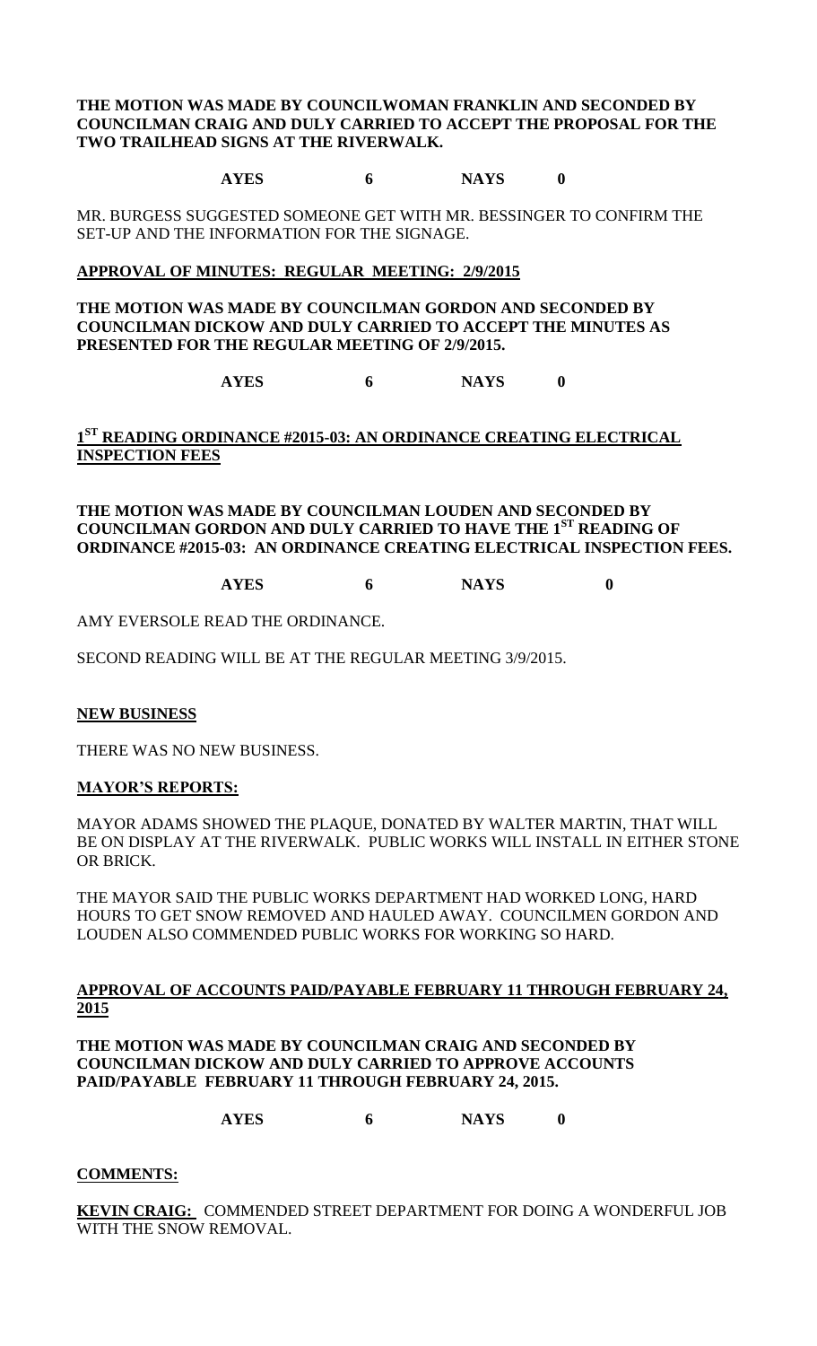**THE MOTION WAS MADE BY COUNCILWOMAN FRANKLIN AND SECONDED BY COUNCILMAN CRAIG AND DULY CARRIED TO ACCEPT THE PROPOSAL FOR THE TWO TRAILHEAD SIGNS AT THE RIVERWALK.**

**AYES 6 NAYS 0**

MR. BURGESS SUGGESTED SOMEONE GET WITH MR. BESSINGER TO CONFIRM THE SET-UP AND THE INFORMATION FOR THE SIGNAGE.

## **APPROVAL OF MINUTES: REGULAR MEETING: 2/9/2015**

**THE MOTION WAS MADE BY COUNCILMAN GORDON AND SECONDED BY COUNCILMAN DICKOW AND DULY CARRIED TO ACCEPT THE MINUTES AS PRESENTED FOR THE REGULAR MEETING OF 2/9/2015.**

**AYES 6 NAYS 0**

**1 ST READING ORDINANCE #2015-03: AN ORDINANCE CREATING ELECTRICAL INSPECTION FEES**

**THE MOTION WAS MADE BY COUNCILMAN LOUDEN AND SECONDED BY COUNCILMAN GORDON AND DULY CARRIED TO HAVE THE 1 ST READING OF ORDINANCE #2015-03: AN ORDINANCE CREATING ELECTRICAL INSPECTION FEES.**

**AYES 6 NAYS 0**

AMY EVERSOLE READ THE ORDINANCE.

SECOND READING WILL BE AT THE REGULAR MEETING 3/9/2015.

## **NEW BUSINESS**

THERE WAS NO NEW BUSINESS.

## **MAYOR'S REPORTS:**

MAYOR ADAMS SHOWED THE PLAQUE, DONATED BY WALTER MARTIN, THAT WILL BE ON DISPLAY AT THE RIVERWALK. PUBLIC WORKS WILL INSTALL IN EITHER STONE OR BRICK.

THE MAYOR SAID THE PUBLIC WORKS DEPARTMENT HAD WORKED LONG, HARD HOURS TO GET SNOW REMOVED AND HAULED AWAY. COUNCILMEN GORDON AND LOUDEN ALSO COMMENDED PUBLIC WORKS FOR WORKING SO HARD.

**APPROVAL OF ACCOUNTS PAID/PAYABLE FEBRUARY 11 THROUGH FEBRUARY 24, 2015**

**THE MOTION WAS MADE BY COUNCILMAN CRAIG AND SECONDED BY COUNCILMAN DICKOW AND DULY CARRIED TO APPROVE ACCOUNTS PAID/PAYABLE FEBRUARY 11 THROUGH FEBRUARY 24, 2015.**

**AYES 6 NAYS 0**

## **COMMENTS:**

**KEVIN CRAIG:** COMMENDED STREET DEPARTMENT FOR DOING A WONDERFUL JOB WITH THE SNOW REMOVAL.